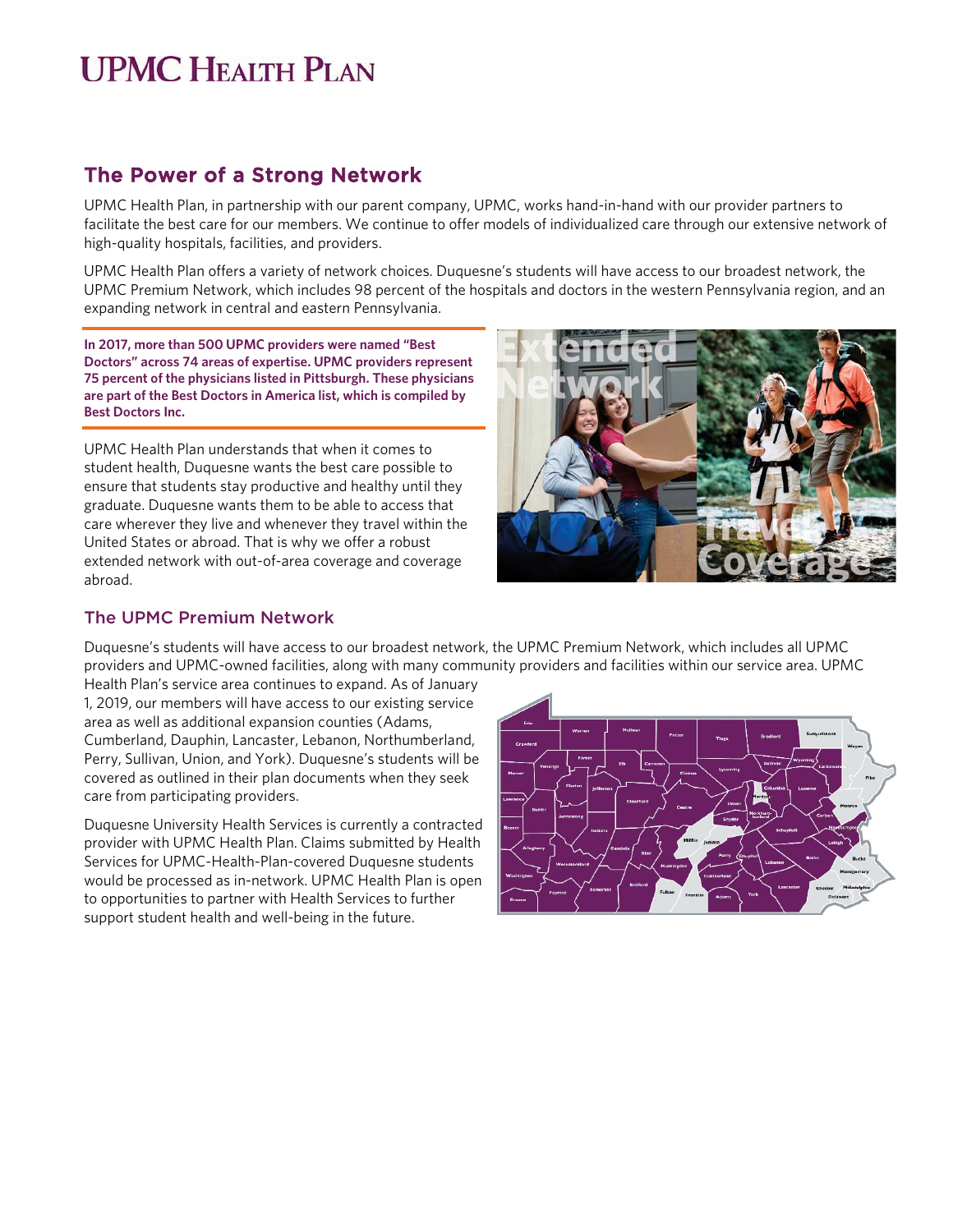## **UPMC HEALTH PLAN**

## The Power of a Strong Network

UPMC Health Plan, in partnership with our parent company, UPMC, works hand-in-hand with our provider partners to facilitate the best care for our members. We continue to offer models of individualized care through our extensive network of high-quality hospitals, facilities, and providers.

UPMC Health Plan offers a variety of network choices. Duquesne's students will have access to our broadest network, the UPMC Premium Network, which includes 98 percent of the hospitals and doctors in the western Pennsylvania region, and an expanding network in central and eastern Pennsylvania.

**In 2017, more than 500 UPMC providers were named "Best Doctors" across 74 areas of expertise. UPMC providers represent 75 percent of the physicians listed in Pittsburgh. These physicians are part of the Best Doctors in America list, which is compiled by Best Doctors Inc.** 

UPMC Health Plan understands that when it comes to student health, Duquesne wants the best care possible to ensure that students stay productive and healthy until they graduate. Duquesne wants them to be able to access that care wherever they live and whenever they travel within the United States or abroad. That is why we offer a robust extended network with out-of-area coverage and coverage abroad.



#### The UPMC Premium Network

Duquesne's students will have access to our broadest network, the UPMC Premium Network, which includes all UPMC providers and UPMC-owned facilities, along with many community providers and facilities within our service area. UPMC

Health Plan's service area continues to expand. As of January 1, 2019, our members will have access to our existing service area as well as additional expansion counties (Adams, Cumberland, Dauphin, Lancaster, Lebanon, Northumberland, Perry, Sullivan, Union, and York). Duquesne's students will be covered as outlined in their plan documents when they seek care from participating providers.

Duquesne University Health Services is currently a contracted provider with UPMC Health Plan. Claims submitted by Health Services for UPMC-Health-Plan-covered Duquesne students would be processed as in-network. UPMC Health Plan is open to opportunities to partner with Health Services to further support student health and well-being in the future.